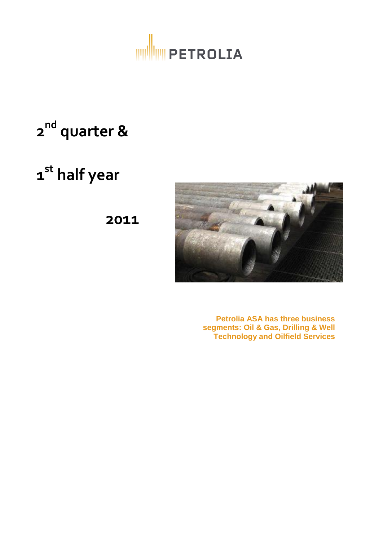

# **2 nd quarter &**

# **1 st half year**

**2011**



**Petrolia ASA has three business segments: Oil & Gas, Drilling & Well Technology and Oilfield Services**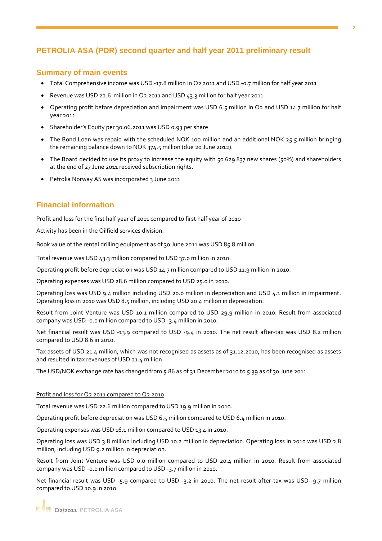## **PETROLIA ASA (PDR) second quarter and half year 2011 preliminary result**

### **Summary of main events**

- Total Comprehensive income was USD -17.8 million in Q2 2011 and USD -0.7 million for half year 2011
- Revenue was USD 22.6 million in Q2 2011 and USD 43.3 million for half year 2011
- Operating profit before depreciation and impairment was USD 6.5 million in Q2 and USD 14.7 million for half year 2011
- Shareholder's Equity per 30.06.2011 was USD 0.93 per share
- The Bond Loan was repaid with the scheduled NOK 100 million and an additional NOK 25.5 million bringing the remaining balance down to NOK 374.5 million (due 20 June 2012).
- The Board decided to use its proxy to increase the equity with 50 629 837 new shares (50%) and shareholders at the end of 27 June 2011 received subscription rights.
- Petrolia Norway AS was incorporated 3 June 2011

## **Financial information**

Profit and loss for the first half year of 2011 compared to first half year of 2010

Activity has been in the Oilfield services division.

Book value of the rental drilling equipment as of 30 June 2011 was USD 85.8 million.

Total revenue was USD 43.3 million compared to USD 37.0 million in 2010.

Operating profit before depreciation was USD 14.7 million compared to USD 11.9 million in 2010.

Operating expenses was USD 28.6 million compared to USD 25.0 in 2010.

Operating loss was USD 9.4 million including USD 20.0 million in depreciation and USD 4.1 million in impairment. Operating loss in 2010 was USD 8.5 million, including USD 20.4 million in depreciation.

Result from Joint Venture was USD 10.1 million compared to USD 29.9 million in 2010. Result from associated company was USD -0.0 million compared to USD -3.4 million in 2010.

Net financial result was USD -13.9 compared to USD -9.4 in 2010. The net result after-tax was USD 8.2 million compared to USD 8.6 in 2010.

Tax assets of USD 21.4 million, which was not recognised as assets as of 31.12.2010, has been recognised as assets and resulted in tax revenues of USD 21.4 million.

The USD/NOK exchange rate has changed from 5.86 as of 31 December 2010 to 5.39 as of 30 June 2011.

#### Profit and loss for Q2 2011 compared to Q2 2010

Total revenue was USD 22.6 million compared to USD 19.9 million in 2010.

Operating profit before depreciation was USD 6.5 million compared to USD 6.4 million in 2010.

Operating expenses was USD 16.1 million compared to USD 13.4 in 2010.

Operating loss was USD 3.8 million including USD 10.2 million in depreciation. Operating loss in 2010 was USD 2.8 million, including USD 9.2 million in depreciation.

Result from Joint Venture was USD 0.0 million compared to USD 20.4 million in 2010. Result from associated company was USD -0.0 million compared to USD -3.7 million in 2010.

Net financial result was USD -5.9 compared to USD -3.2 in 2010. The net result after-tax was USD -9.7 million compared to USD 10.9 in 2010.

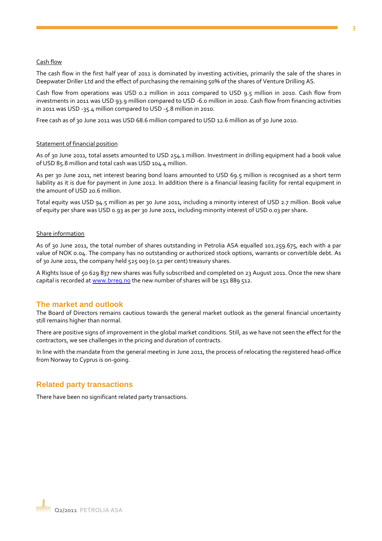#### Cash flow

The cash flow in the first half year of 2011 is dominated by investing activities, primarily the sale of the shares in Deepwater Driller Ltd and the effect of purchasing the remaining 50% of the shares of Venture Drilling AS.

Cash flow from operations was USD 0.2 million in 2011 compared to USD 9.5 million in 2010. Cash flow from investments in 2011 was USD 93.9 million compared to USD -6.0 million in 2010. Cash flow from financing activities in 2011 was USD -35.4 million compared to USD -5.8 million in 2010.

Free cash as of 30 June 2011 was USD 68.6 million compared to USD 12.6 million as of 30 June 2010.

#### Statement of financial position

As of 30 June 2011, total assets amounted to USD 254.1 million. Investment in drilling equipment had a book value of USD 85.8 million and total cash was USD 104.4 million.

As per 30 June 2011, net interest bearing bond loans amounted to USD 69.5 million is recognised as a short term liability as it is due for payment in June 2012. In addition there is a financial leasing facility for rental equipment in the amount of USD 20.6 million.

Total equity was USD 94.5 million as per 30 June 2011, including a minority interest of USD 2.7 million. Book value of equity per share was USD 0.93 as per 30 June 2011, including minority interest of USD 0.03 per share**.** 

#### Share information

As of 30 June 2011, the total number of shares outstanding in Petrolia ASA equalled 101.259.675, each with a par value of NOK 0.04. The company has no outstanding or authorized stock options, warrants or convertible debt. As of 30 June 2011, the company held 525 003 (0.52 per cent) treasury shares.

A Rights Issue of 50 629 837 new shares was fully subscribed and completed on 23 August 2011. Once the new share capital is recorded at [www.brreg.no](http://www.brreg.no/) the new number of shares will be 151 889 512.

#### **The market and outlook**

The Board of Directors remains cautious towards the general market outlook as the general financial uncertainty still remains higher than normal.

There are positive signs of improvement in the global market conditions. Still, as we have not seen the effect for the contractors, we see challenges in the pricing and duration of contracts.

In line with the mandate from the general meeting in June 2011, the process of relocating the registered head-office from Norway to Cyprus is on-going.

#### **Related party transactions**

There have been no significant related party transactions.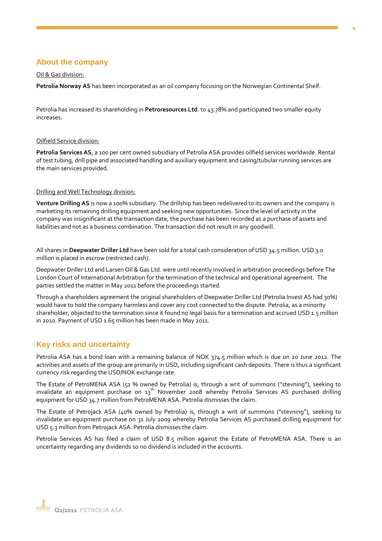## **About the company**

#### Oil & Gas division:

**Petrolia Norway AS** has been incorporated as an oil company focusing on the Norwegian Continental Shelf.

Petrolia has increased its shareholding in **Petroresources Ltd**. to 43.78% and participated two smaller equity increases.

#### Oilfield Service division:

**Petrolia Services AS**, a 100 per cent owned subsidiary of Petrolia ASA provides oilfield services worldwide. Rental of test tubing, drill pipe and associated handling and auxiliary equipment and casing/tubular running services are the main services provided.

#### Drilling and Well Technology division:

**Venture Drilling AS** is now a 100% subsidiary. The drillship has been redelivered to its owners and the company is marketing its remaining drilling equipment and seeking new opportunities. Since the level of activity in the company was insignificant at the transaction date, the purchase has been recorded as a purchase of assets and liabilities and not as a business combination. The transaction did not result in any goodwill.

All shares in **Deepwater Driller Ltd** have been sold for a total cash consideration of USD 34.5 million. USD 3.0 million is placed in escrow (restricted cash).

Deepwater Driller Ltd and Larsen Oil & Gas Ltd. were until recently involved in arbitration proceedings before The London Court of International Arbitration for the termination of the technical and operational agreement. The parties settled the matter in May 2011 before the proceedings started.

Through a shareholders agreement the original shareholders of Deepwater Driller Ltd (Petrolia Invest AS had 30%) would have to hold the company harmless and cover any cost connected to the dispute. Petrolia, as a minority shareholder, objected to the termination since it found no legal basis for a termination and accrued USD 1.5 million in 2010. Payment of USD 1.65 million has been made in May 2011.

## **Key risks and uncertainty**

Petrolia ASA has a bond loan with a remaining balance of NOK 374.5 million which is due on 20 June 2012. The activities and assets of the group are primarily in USD, including significant cash deposits. There is thus a significant currency risk regarding the USD/NOK exchange rate.

The Estate of PetroMENA ASA (51 % owned by Petrolia) is, through a writ of summons ("stevning"), seeking to invalidate an equipment purchase on  $13<sup>th</sup>$  November 2008 whereby Petrolia Services AS purchased drilling equipment for USD 34.7 million from PetroMENA ASA. Petrolia dismisses the claim.

The Estate of Petrojack ASA (40% owned by Petrolia) is, through a writ of summons ("stevning"), seeking to invalidate an equipment purchase on 31 July 2009 whereby Petrolia Services AS purchased drilling equipment for USD 5.3 million from Petrojack ASA. Petrolia dismisses the claim.

Petrolia Services AS has filed a claim of USD 8.5 million against the Estate of PetroMENA ASA. There is an uncertainty regarding any dividends so no dividend is included in the accounts.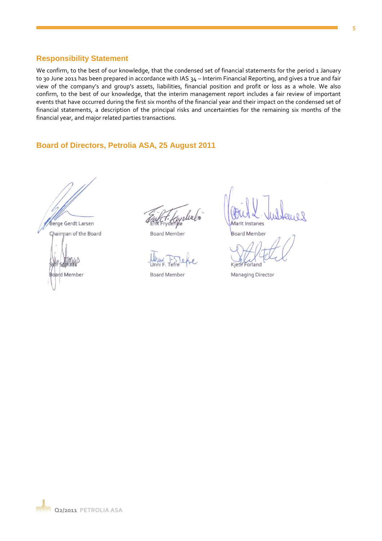#### **5**

### **Responsibility Statement**

We confirm, to the best of our knowledge, that the condensed set of financial statements for the period 1 January to 30 June 2011 has been prepared in accordance with IAS 34 - Interim Financial Reporting, and gives a true and fair view of the company's and group's assets, liabilities, financial position and profit or loss as a whole. We also confirm, to the best of our knowledge, that the interim management report includes a fair review of important events that have occurred during the first six months of the financial year and their impact on the condensed set of financial statements, a description of the principal risks and uncertainties for the remaining six months of the financial year, and major related parties transactions.

## **Board of Directors, Petrolia ASA, 25 August 2011**

Berge Gerdt Larsen Chairman of the Board **Board Member** 

yeliabo

**Board Member** 

**Board Member** 

Marit Instanes

**Board Member** 

Kjetil Forland

**Managing Director**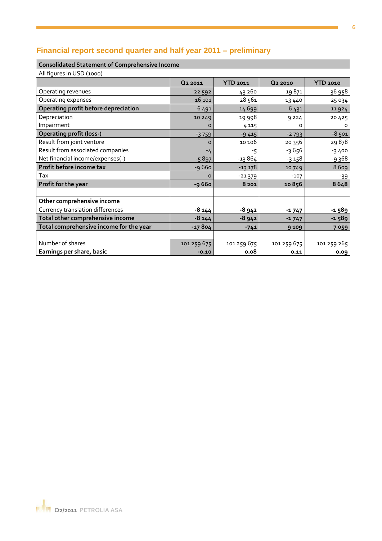## **Financial report second quarter and half year 2011 – preliminary**

## **Consolidated Statement of Comprehensive Income**

All figures in USD (1000)

|                                         | Q <sub>2</sub> 2011 | <b>YTD 2011</b> | Q <sub>2</sub> 2010 | <b>YTD 2010</b> |
|-----------------------------------------|---------------------|-----------------|---------------------|-----------------|
| Operating revenues                      | 22 5 9 2            | 43 260          | 19871               | 36 958          |
| Operating expenses                      | 16 10 1             | 28561           | 13 4 4 0            | 25 0 34         |
| Operating profit before depreciation    | 6491                | 14 6 9 9        | 6431                | 11924           |
| Depreciation                            | 10 249              | 19 998          | 9224                | 20 4 2 5        |
| Impairment                              | o                   | 4 1 1 5         | o                   | o               |
| <b>Operating profit (loss-)</b>         | $-3759$             | $-9415$         | $-2793$             | $-8,501$        |
| Result from joint venture               | $\Omega$            | 10 106          | 20 356              | 29878           |
| Result from associated companies        | $-4$                | -5              | $-3656$             | $-3400$         |
| Net financial income/expenses(-)        | $-5897$             | $-13864$        | $-3158$             | -9368           |
| Profit before income tax                | $-9660$             | $-13178$        | 10749               | 8609            |
| Tax                                     | $\Omega$            | $-21379$        | $-107$              | $-39$           |
| Profit for the year                     | -9 660              | 8 2 0 1         | 10856               | 8648            |
|                                         |                     |                 |                     |                 |
| Other comprehensive income              |                     |                 |                     |                 |
| Currency translation differences        | $-8144$             | $-8942$         | $-1747$             | -1589           |
| Total other comprehensive income        | $-8144$             | $-8942$         | $-1747$             | $-1589$         |
| Total comprehensive income for the year | $-17804$            | $-741$          | 9 109               | 7 0 5 9         |
|                                         |                     |                 |                     |                 |
| Number of shares                        | 101 259 675         | 101 259 675     | 101 259 675         | 101 259 265     |
| Earnings per share, basic               | $-0.10$             | 0.08            | 0.11                | 0.09            |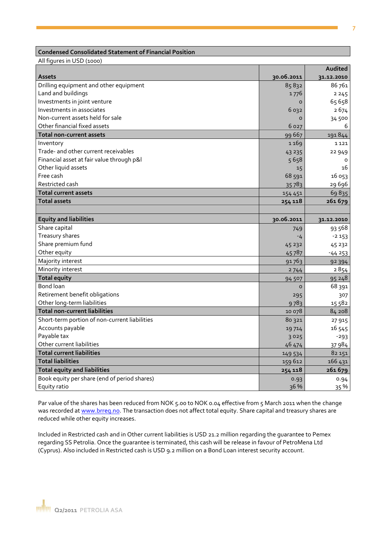#### **Condensed Consolidated Statement of Financial Position**

All figures in USD (1000)

|                                               |            | Audited    |
|-----------------------------------------------|------------|------------|
| <b>Assets</b>                                 | 30.06.2011 | 31.12.2010 |
| Drilling equipment and other equipment        | 85832      | 86761      |
| Land and buildings                            | 1776       | 2245       |
| Investments in joint venture                  | O          | 65 658     |
| Investments in associates                     | 6 032      | 2674       |
| Non-current assets held for sale              | $\circ$    | 34 500     |
| Other financial fixed assets                  | 6 0 2 7    | 6          |
| <b>Total non-current assets</b>               | 99 667     | 191844     |
| Inventory                                     | 1169       | 1121       |
| Trade- and other current receivables          | 43 235     | 22 949     |
| Financial asset at fair value through p&l     | 5658       | 0          |
| Other liquid assets                           | 15         | 16         |
| Free cash                                     | 68 591     | 16 053     |
| Restricted cash                               | 35783      | 29 6 9 6   |
| <b>Total current assets</b>                   | 154 451    | 69835      |
| <b>Total assets</b>                           | 254 118    | 261679     |
|                                               |            |            |
| <b>Equity and liabilities</b>                 | 30.06.2011 | 31.12.2010 |
| Share capital                                 | 749        | 93 568     |
| Treasury shares                               | -4         | $-2153$    |
| Share premium fund                            | 45 232     | 45 232     |
| Other equity                                  | 45787      | $-44253$   |
| Majority interest                             | 91763      | 92 3 94    |
| Minority interest                             | 2744       | 2854       |
| <b>Total equity</b>                           | 94 507     | 95248      |
| <b>Bond loan</b>                              | $\Omega$   | 68 391     |
| Retirement benefit obligations                | 295        | 307        |
| Other long-term liabilities                   | 9783       | 15 582     |
| <b>Total non-current liabilities</b>          | 10 078     | 84 208     |
| Short-term portion of non-current liabilities | 80 321     | 27 915     |
| Accounts payable                              | 19714      | 16 545     |
| Payable tax                                   | 3025       | $-293$     |
| Other current liabilities                     | 46 474     | 37 984     |
| <b>Total current liabilities</b>              | 149 534    | 82 151     |
| <b>Total liabilities</b>                      | 159 612    | 166 431    |
| <b>Total equity and liabilities</b>           | 254 118    | 261679     |
| Book equity per share (end of period shares)  | 0.93       | 0.94       |
| Equity ratio                                  | 36 %       | 35 %       |

Par value of the shares has been reduced from NOK 5.00 to NOK 0.04 effective from 5 March 2011 when the change was recorded at [www.brreg.no.](http://www.brreg.no/) The transaction does not affect total equity. Share capital and treasury shares are reduced while other equity increases.

Included in Restricted cash and in Other current liabilities is USD 21.2 million regarding the guarantee to Pemex regarding SS Petrolia. Once the guarantee is terminated, this cash will be release in favour of PetroMena Ltd (Cyprus). Also included in Restricted cash is USD 9.2 million on a Bond Loan interest security account.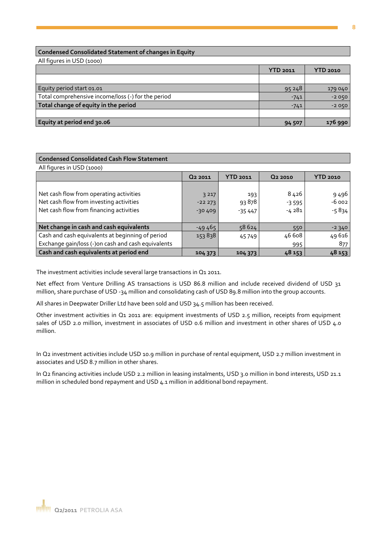#### **Condensed Consolidated Statement of changes in Equity**

All figures in USD (1000)

|                                                    | <b>YTD 2011</b> | <b>YTD 2010</b> |
|----------------------------------------------------|-----------------|-----------------|
|                                                    |                 |                 |
| Equity period start 01.01                          | 95248           | 179 040         |
| Total comprehensive income/loss (-) for the period | $-741$          | $-2050$         |
| Total change of equity in the period               | $-741$          | $-2050$         |
|                                                    |                 |                 |
| Equity at period end 30.06                         | 94 507          | 176 990         |
|                                                    |                 |                 |

# **Condensed Consolidated Cash Flow Statement**

| All figures in USD (1000)                                                                                                     |                                 |                          |                            |                               |
|-------------------------------------------------------------------------------------------------------------------------------|---------------------------------|--------------------------|----------------------------|-------------------------------|
|                                                                                                                               | Q <sub>2</sub> 2011             | YTD 2011                 | Q <sub>2</sub> 2010        | <b>YTD 2010</b>               |
| Net cash flow from operating activities<br>Net cash flow from investing activities<br>Net cash flow from financing activities | 3 2 1 7<br>$-22273$<br>$-30409$ | 193<br>93878<br>$-35447$ | 8426<br>$-3.595$<br>-4 281 | 9 4 9 6<br>$-6002$<br>$-5834$ |
| Net change in cash and cash equivalents                                                                                       | $-49465$                        | 58624                    | 550                        | $-2340$                       |
| Cash and cash equivalents at beginning of period                                                                              | 153838                          | 45749                    | 46 6 08                    | 49 616                        |
| Exchange gain/loss (-)on cash and cash equivalents                                                                            |                                 |                          | 995                        | 877                           |
| Cash and cash equivalents at period end                                                                                       | 104 373                         | 104 373                  | 48 153                     | 48 153                        |

The investment activities include several large transactions in Q1 2011.

Net effect from Venture Drilling AS transactions is USD 86.8 million and include received dividend of USD 31 million, share purchase of USD -34 million and consolidating cash of USD 89.8 million into the group accounts.

All shares in Deepwater Driller Ltd have been sold and USD 34.5 million has been received.

Other investment activities in Q1 2011 are: equipment investments of USD 2.5 million, receipts from equipment sales of USD 2.0 million, investment in associates of USD 0.6 million and investment in other shares of USD 4.0 million.

In Q2 investment activities include USD 10.9 million in purchase of rental equipment, USD 2.7 million investment in associates and USD 8.7 million in other shares.

In Q2 financing activities include USD 2.2 million in leasing instalments, USD 3.0 million in bond interests, USD 21.1 million in scheduled bond repayment and USD 4.1 million in additional bond repayment.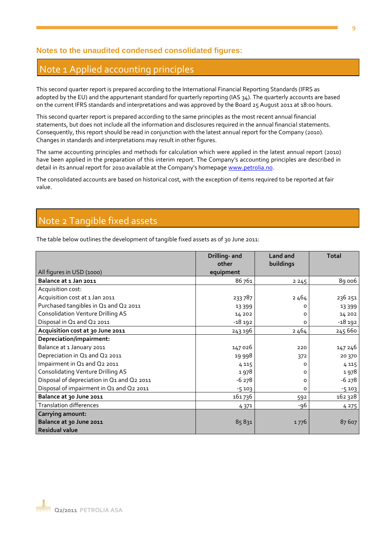## **Notes to the unaudited condensed consolidated figures:**

## Note 1 Applied accounting principles

This second quarter report is prepared according to the International Financial Reporting Standards (IFRS as adopted by the EU) and the appurtenant standard for quarterly reporting (IAS 34). The quarterly accounts are based on the current IFRS standards and interpretations and was approved by the Board 25 August 2011 at 18:00 hours.

This second quarter report is prepared according to the same principles as the most recent annual financial statements, but does not include all the information and disclosures required in the annual financial statements. Consequently, this report should be read in conjunction with the latest annual report for the Company (2010). Changes in standards and interpretations may result in other figures.

The same accounting principles and methods for calculation which were applied in the latest annual report (2010) have been applied in the preparation of this interim report. The Company's accounting principles are described in detail in its annual report for 2010 available at the Company's homepage [www.petrolia.no.](http://www.petrolia.no/)

The consolidated accounts are based on historical cost, with the exception of items required to be reported at fair value.

## Note 2 Tangible fixed assets

The table below outlines the development of tangible fixed assets as of 30 June 2011:

|                                            | Drilling- and<br>other | Land and<br>buildings | <b>Total</b> |
|--------------------------------------------|------------------------|-----------------------|--------------|
| All figures in USD (1000)                  | equipment              |                       |              |
| Balance at 1 Jan 2011                      | 86761                  | 2245                  | 89 006       |
| Acquisition cost:                          |                        |                       |              |
| Acquisition cost at 1 Jan 2011             | 233787                 | 2464                  | 236 251      |
| Purchased tangibles in Q1 and Q2 2011      | 13 3 9 9               | 0                     | 13 3 9 9     |
| <b>Consolidation Venture Drilling AS</b>   | 14 20 2                | 0                     | 14 20 2      |
| Disposal in Q1 and Q2 2011                 | -18 192                | 0                     | $-18192$     |
| Acquisition cost at 30 June 2011           | 243 196                | 2464                  | 245 660      |
| Depreciation/impairment:                   |                        |                       |              |
| Balance at 1 January 2011                  | 147026                 | 220                   | 147 246      |
| Depreciation in Q1 and Q2 2011             | 19 998                 | 372                   | 20 370       |
| Impairment in Q1 and Q2 2011               | 4 1 1 5                | 0                     | 4 1 1 5      |
| <b>Consolidating Venture Drilling AS</b>   | 1978                   | 0                     | 1978         |
| Disposal of depreciation in Q1 and Q2 2011 | $-6278$                | 0                     | $-6278$      |
| Disposal of impairment in Q1 and Q2 2011   | $-5103$                | 0                     | $-5103$      |
| Balance at 30 June 2011                    | 161736                 | 592                   | 162 328      |
| <b>Translation differences</b>             | 4 3 7 1                | -96                   | 4 2 7 5      |
| <b>Carrying amount:</b>                    |                        |                       |              |
| Balance at 30 June 2011                    | 85831                  | 1776                  | 87 607       |
| <b>Residual value</b>                      |                        |                       |              |